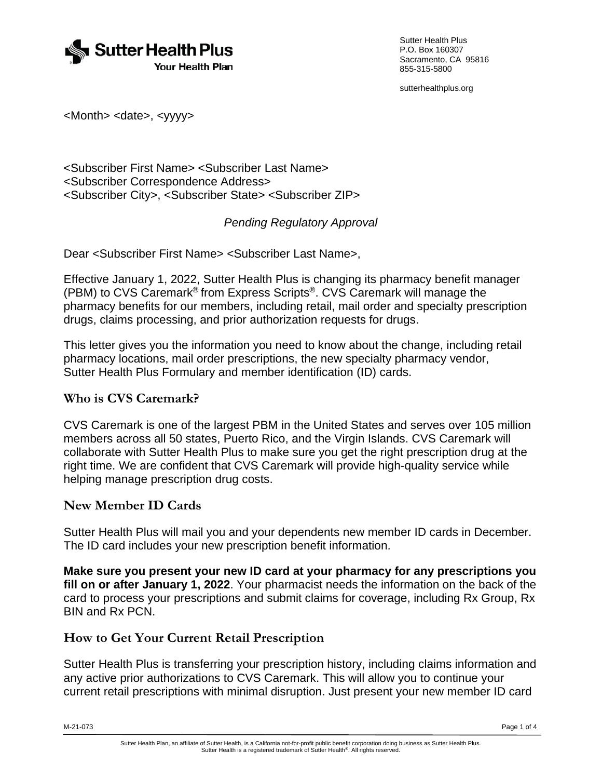

Sutter Health Plus P.O. Box 160307 Sacramento, CA 95816 855-315-5800

sutterhealthplus.org

<Month> <date>, <yyyy>

<Subscriber First Name> <Subscriber Last Name> <Subscriber Correspondence Address> <Subscriber City>, <Subscriber State> <Subscriber ZIP>

### *Pending Regulatory Approval*

Dear <Subscriber First Name> <Subscriber Last Name>,

Effective January 1, 2022, Sutter Health Plus is changing its pharmacy benefit manager (PBM) to CVS Caremark® from Express Scripts®. CVS Caremark will manage the pharmacy benefits for our members, including retail, mail order and specialty prescription drugs, claims processing, and prior authorization requests for drugs.

This letter gives you the information you need to know about the change, including retail pharmacy locations, mail order prescriptions, the new specialty pharmacy vendor, Sutter Health Plus Formulary and member identification (ID) cards.

#### **Who is CVS Caremark?**

CVS Caremark is one of the largest PBM in the United States and serves over 105 million members across all 50 states, Puerto Rico, and the Virgin Islands. CVS Caremark will collaborate with Sutter Health Plus to make sure you get the right prescription drug at the right time. We are confident that CVS Caremark will provide high-quality service while helping manage prescription drug costs.

#### **New Member ID Cards**

Sutter Health Plus will mail you and your dependents new member ID cards in December. The ID card includes your new prescription benefit information.

**Make sure you present your new ID card at your pharmacy for any prescriptions you fill on or after January 1, 2022**. Your pharmacist needs the information on the back of the card to process your prescriptions and submit claims for coverage, including Rx Group, Rx BIN and Rx PCN.

#### **How to Get Your Current Retail Prescription**

Sutter Health Plus is transferring your prescription history, including claims information and any active prior authorizations to CVS Caremark. This will allow you to continue your current retail prescriptions with minimal disruption. Just present your new member ID card

M-21-073 Page 1 of 4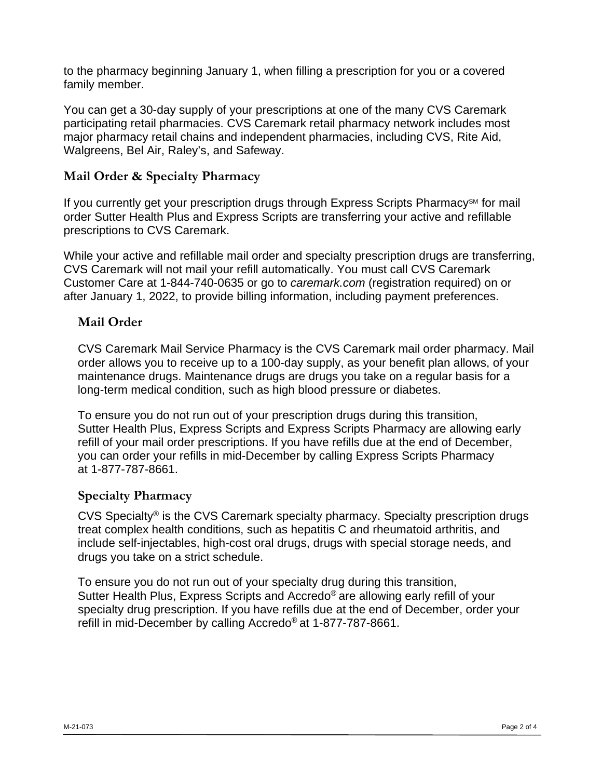to the pharmacy beginning January 1, when filling a prescription for you or a covered family member.

You can get a 30-day supply of your prescriptions at one of the many CVS Caremark participating retail pharmacies. CVS Caremark retail pharmacy network includes most major pharmacy retail chains and independent pharmacies, including CVS, Rite Aid, Walgreens, Bel Air, Raley's, and Safeway.

# **Mail Order & Specialty Pharmacy**

If you currently get your prescription drugs through Express Scripts Pharmacy<sup>SM</sup> for mail order Sutter Health Plus and Express Scripts are transferring your active and refillable prescriptions to CVS Caremark.

While your active and refillable mail order and specialty prescription drugs are transferring, CVS Caremark will not mail your refill automatically. You must call CVS Caremark Customer Care at 1-844-740-0635 or go to *caremark.com* (registration required) on or after January 1, 2022, to provide billing information, including payment preferences.

## **Mail Order**

CVS Caremark Mail Service Pharmacy is the CVS Caremark mail order pharmacy. Mail order allows you to receive up to a 100-day supply, as your benefit plan allows, of your maintenance drugs. Maintenance drugs are drugs you take on a regular basis for a long-term medical condition, such as high blood pressure or diabetes.

To ensure you do not run out of your prescription drugs during this transition, Sutter Health Plus, Express Scripts and Express Scripts Pharmacy are allowing early refill of your mail order prescriptions. If you have refills due at the end of December, you can order your refills in mid-December by calling Express Scripts Pharmacy at 1-877-787-8661.

## **Specialty Pharmacy**

CVS Specialty® is the CVS Caremark specialty pharmacy. Specialty prescription drugs treat complex health conditions, such as hepatitis C and rheumatoid arthritis, and include self-injectables, high-cost oral drugs, drugs with special storage needs, and drugs you take on a strict schedule.

To ensure you do not run out of your specialty drug during this transition, Sutter Health Plus, Express Scripts and Accredo® are allowing early refill of your specialty drug prescription. If you have refills due at the end of December, order your refill in mid-December by calling Accredo® at 1-877-787-8661.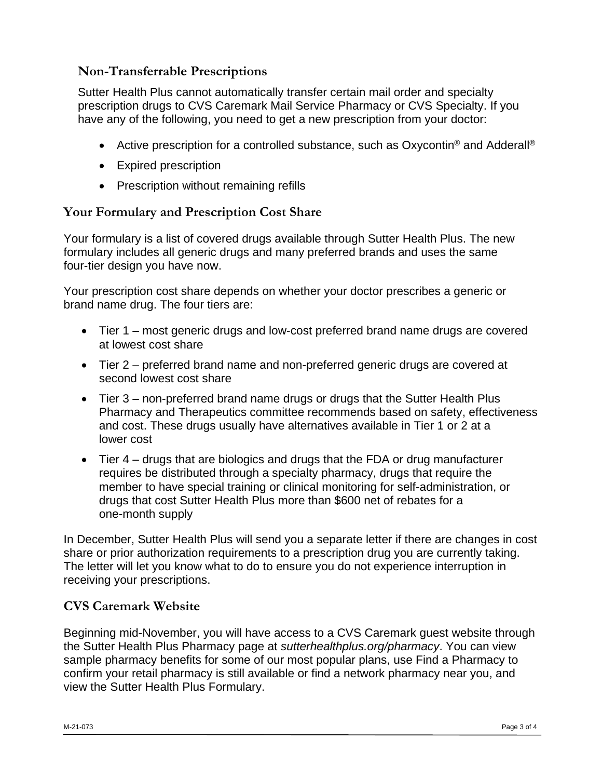# **Non-Transferrable Prescriptions**

Sutter Health Plus cannot automatically transfer certain mail order and specialty prescription drugs to CVS Caremark Mail Service Pharmacy or CVS Specialty. If you have any of the following, you need to get a new prescription from your doctor:

- Active prescription for a controlled substance, such as Oxycontin<sup>®</sup> and Adderall<sup>®</sup>
- Expired prescription
- Prescription without remaining refills

## **Your Formulary and Prescription Cost Share**

Your formulary is a list of covered drugs available through Sutter Health Plus. The new formulary includes all generic drugs and many preferred brands and uses the same four-tier design you have now.

Your prescription cost share depends on whether your doctor prescribes a generic or brand name drug. The four tiers are:

- Tier 1 most generic drugs and low-cost preferred brand name drugs are covered at lowest cost share
- Tier 2 preferred brand name and non-preferred generic drugs are covered at second lowest cost share
- Tier 3 non-preferred brand name drugs or drugs that the Sutter Health Plus Pharmacy and Therapeutics committee recommends based on safety, effectiveness and cost. These drugs usually have alternatives available in Tier 1 or 2 at a lower cost
- Tier 4 drugs that are biologics and drugs that the FDA or drug manufacturer requires be distributed through a specialty pharmacy, drugs that require the member to have special training or clinical monitoring for self-administration, or drugs that cost Sutter Health Plus more than \$600 net of rebates for a one-month supply

In December, Sutter Health Plus will send you a separate letter if there are changes in cost share or prior authorization requirements to a prescription drug you are currently taking. The letter will let you know what to do to ensure you do not experience interruption in receiving your prescriptions.

## **CVS Caremark Website**

Beginning mid-November, you will have access to a CVS Caremark guest website through the Sutter Health Plus Pharmacy page at *sutterhealthplus.org/pharmacy*. You can view sample pharmacy benefits for some of our most popular plans, use Find a Pharmacy to confirm your retail pharmacy is still available or find a network pharmacy near you, and view the Sutter Health Plus Formulary.